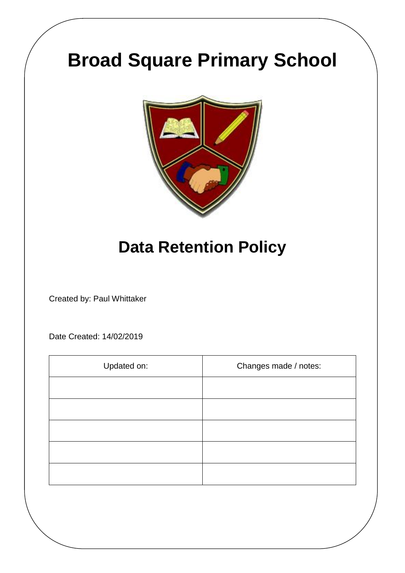# **Broad Square Primary School**



## **Data Retention Policy**

Created by: Paul Whittaker

Date Created: 14/02/2019

| Updated on: | Changes made / notes: |
|-------------|-----------------------|
|             |                       |
|             |                       |
|             |                       |
|             |                       |
|             |                       |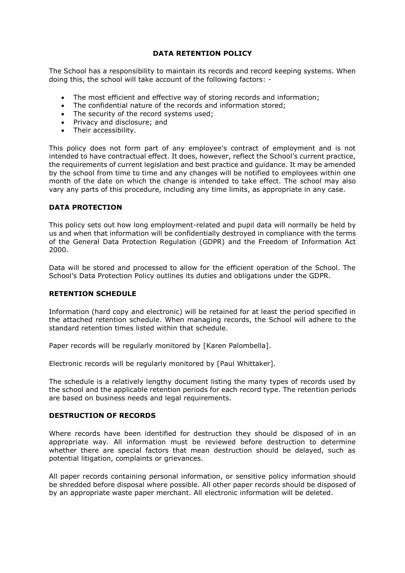#### **DATA RETENTION POLICY**

The School has a responsibility to maintain its records and record keeping systems. When doing this, the school will take account of the following factors: -

- The most efficient and effective way of storing records and information;
- The confidential nature of the records and information stored;
- The security of the record systems used;
- Privacy and disclosure; and
- Their accessibility.

This policy does not form part of any employee's contract of employment and is not intended to have contractual effect. It does, however, reflect the School's current practice, the requirements of current legislation and best practice and guidance. It may be amended by the school from time to time and any changes will be notified to employees within one month of the date on which the change is intended to take effect. The school may also vary any parts of this procedure, including any time limits, as appropriate in any case.

#### **DATA PROTECTION**

This policy sets out how long employment-related and pupil data will normally be held by us and when that information will be confidentially destroyed in compliance with the terms of the General Data Protection Regulation (GDPR) and the Freedom of Information Act 2000.

Data will be stored and processed to allow for the efficient operation of the School. The School's Data Protection Policy outlines its duties and obligations under the GDPR.

#### **RETENTION SCHEDULE**

Information (hard copy and electronic) will be retained for at least the period specified in the attached retention schedule. When managing records, the School will adhere to the standard retention times listed within that schedule.

Paper records will be regularly monitored by [Karen Palombella].

Electronic records will be regularly monitored by [Paul Whittaker].

The schedule is a relatively lengthy document listing the many types of records used by the school and the applicable retention periods for each record type. The retention periods are based on business needs and legal requirements.

#### **DESTRUCTION OF RECORDS**

Where records have been identified for destruction they should be disposed of in an appropriate way. All information must be reviewed before destruction to determine whether there are special factors that mean destruction should be delayed, such as potential litigation, complaints or grievances.

All paper records containing personal information, or sensitive policy information should be shredded before disposal where possible. All other paper records should be disposed of by an appropriate waste paper merchant. All electronic information will be deleted.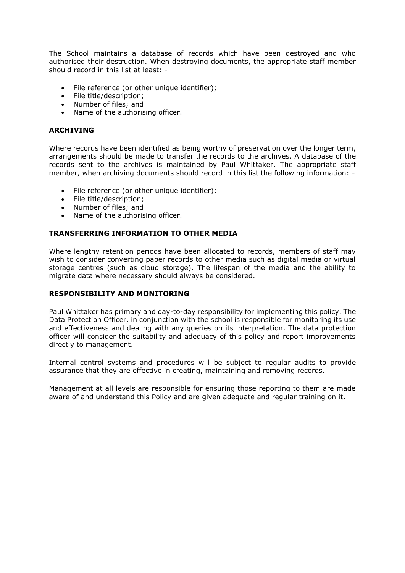The School maintains a database of records which have been destroyed and who authorised their destruction. When destroying documents, the appropriate staff member should record in this list at least: -

- File reference (or other unique identifier);
- File title/description;
- Number of files; and
- Name of the authorising officer.

#### **ARCHIVING**

Where records have been identified as being worthy of preservation over the longer term, arrangements should be made to transfer the records to the archives. A database of the records sent to the archives is maintained by Paul Whittaker. The appropriate staff member, when archiving documents should record in this list the following information: -

- File reference (or other unique identifier);
- File title/description:
- Number of files; and
- Name of the authorising officer.

#### **TRANSFERRING INFORMATION TO OTHER MEDIA**

Where lengthy retention periods have been allocated to records, members of staff may wish to consider converting paper records to other media such as digital media or virtual storage centres (such as cloud storage). The lifespan of the media and the ability to migrate data where necessary should always be considered.

#### **RESPONSIBILITY AND MONITORING**

Paul Whittaker has primary and day-to-day responsibility for implementing this policy. The Data Protection Officer, in conjunction with the school is responsible for monitoring its use and effectiveness and dealing with any queries on its interpretation. The data protection officer will consider the suitability and adequacy of this policy and report improvements directly to management.

Internal control systems and procedures will be subject to regular audits to provide assurance that they are effective in creating, maintaining and removing records.

Management at all levels are responsible for ensuring those reporting to them are made aware of and understand this Policy and are given adequate and regular training on it.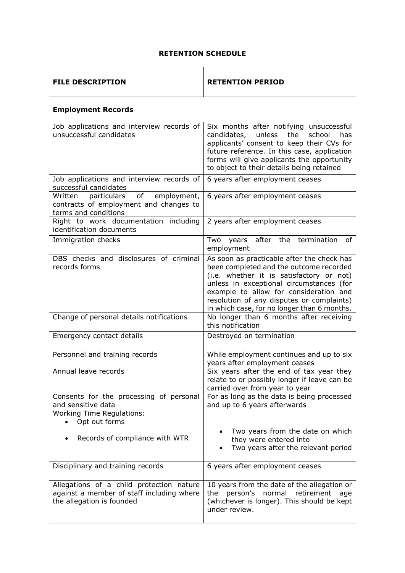#### **RETENTION SCHEDULE**

| <b>FILE DESCRIPTION</b>                                                                                            | <b>RETENTION PERIOD</b>                                                                                                                                                                                                                                                                                             |
|--------------------------------------------------------------------------------------------------------------------|---------------------------------------------------------------------------------------------------------------------------------------------------------------------------------------------------------------------------------------------------------------------------------------------------------------------|
| <b>Employment Records</b>                                                                                          |                                                                                                                                                                                                                                                                                                                     |
| Job applications and interview records of<br>unsuccessful candidates                                               | Six months after notifying unsuccessful<br>unless<br>the<br>candidates,<br>school<br>has<br>applicants' consent to keep their CVs for<br>future reference. In this case, application<br>forms will give applicants the opportunity<br>to object to their details being retained                                     |
| Job applications and interview records of<br>successful candidates                                                 | 6 years after employment ceases                                                                                                                                                                                                                                                                                     |
| employment,<br>Written<br>particulars<br>of<br>contracts of employment and changes to<br>terms and conditions      | 6 years after employment ceases                                                                                                                                                                                                                                                                                     |
| Right to work documentation including<br>identification documents                                                  | 2 years after employment ceases                                                                                                                                                                                                                                                                                     |
| Immigration checks                                                                                                 | years after the termination<br>Two<br>of<br>employment                                                                                                                                                                                                                                                              |
| DBS checks and disclosures of criminal<br>records forms                                                            | As soon as practicable after the check has<br>been completed and the outcome recorded<br>(i.e. whether it is satisfactory or not)<br>unless in exceptional circumstances (for<br>example to allow for consideration and<br>resolution of any disputes or complaints)<br>in which case, for no longer than 6 months. |
| Change of personal details notifications                                                                           | No longer than 6 months after receiving<br>this notification                                                                                                                                                                                                                                                        |
| Emergency contact details                                                                                          | Destroyed on termination                                                                                                                                                                                                                                                                                            |
| Personnel and training records                                                                                     | While employment continues and up to six<br>years after employment ceases                                                                                                                                                                                                                                           |
| Annual leave records                                                                                               | Six years after the end of tax year they<br>relate to or possibly longer if leave can be<br>carried over from year to year                                                                                                                                                                                          |
| Consents for the processing of personal<br>and sensitive data                                                      | For as long as the data is being processed<br>and up to 6 years afterwards                                                                                                                                                                                                                                          |
| <b>Working Time Regulations:</b><br>Opt out forms                                                                  |                                                                                                                                                                                                                                                                                                                     |
| Records of compliance with WTR                                                                                     | Two years from the date on which<br>they were entered into<br>Two years after the relevant period                                                                                                                                                                                                                   |
| Disciplinary and training records                                                                                  | 6 years after employment ceases                                                                                                                                                                                                                                                                                     |
| Allegations of a child protection nature<br>against a member of staff including where<br>the allegation is founded | 10 years from the date of the allegation or<br>the person's normal retirement<br>age<br>(whichever is longer). This should be kept<br>under review.                                                                                                                                                                 |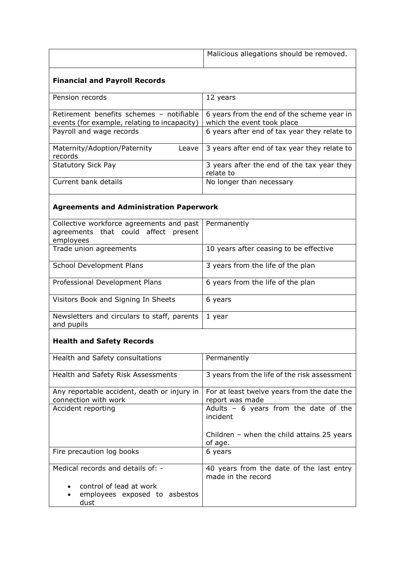| Malicious allegations should be removed. |
|------------------------------------------|
|                                          |

### **Financial and Payroll Records**

| Pension records                              | 12 years                                     |
|----------------------------------------------|----------------------------------------------|
|                                              |                                              |
|                                              |                                              |
| Retirement benefits schemes - notifiable     | 6 years from the end of the scheme year in   |
|                                              |                                              |
| events (for example, relating to incapacity) | which the event took place                   |
| Payroll and wage records                     | 6 years after end of tax year they relate to |
|                                              |                                              |
|                                              |                                              |
| Maternity/Adoption/Paternity<br>Leave        | 3 years after end of tax year they relate to |
|                                              |                                              |
| records                                      |                                              |
| <b>Statutory Sick Pay</b>                    | 3 years after the end of the tax year they   |
|                                              |                                              |
|                                              | relate to                                    |
| Current bank details                         | No longer than necessary                     |
|                                              |                                              |
|                                              |                                              |

## **Agreements and Administration Paperwork**

| Collective workforce agreements and past<br>agreements that could affect present<br>employees | Permanently                            |
|-----------------------------------------------------------------------------------------------|----------------------------------------|
| Trade union agreements                                                                        | 10 years after ceasing to be effective |
| School Development Plans                                                                      | 3 years from the life of the plan      |
| Professional Development Plans                                                                | 6 years from the life of the plan      |
| Visitors Book and Signing In Sheets                                                           | 6 years                                |
| Newsletters and circulars to staff, parents<br>and pupils                                     | 1 year                                 |

## **Health and Safety Records**

| Health and Safety consultations                                     | Permanently                                                    |
|---------------------------------------------------------------------|----------------------------------------------------------------|
| Health and Safety Risk Assessments                                  | 3 years from the life of the risk assessment                   |
| Any reportable accident, death or injury in<br>connection with work | For at least twelve years from the date the<br>report was made |
| Accident reporting                                                  | Adults $-6$ years from the date of the<br>incident             |
|                                                                     | Children $-$ when the child attains 25 years<br>of age.        |
| Fire precaution log books                                           | 6 years                                                        |
| Medical records and details of: -                                   | 40 years from the date of the last entry<br>made in the record |
| • control of lead at work<br>employees exposed to asbestos<br>dust  |                                                                |